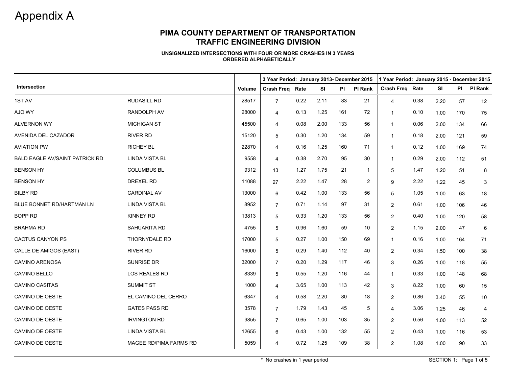## **PIMA COUNTY DEPARTMENT OF TRANSPORTATION TRAFFIC ENGINEERING DIVISION**

#### **UNSIGNALIZED INTERSECTIONS WITH FOUR OR MORE CRASHES IN 3 YEARSORDERED ALPHABETICALLY**

|                                       |                        |        | 3 Year Period: January 2013- December 2015<br>1 Year Period: January 2015 - December 2015 |      |           |     |                |                        |      |           |     |                |
|---------------------------------------|------------------------|--------|-------------------------------------------------------------------------------------------|------|-----------|-----|----------------|------------------------|------|-----------|-----|----------------|
| Intersection                          |                        | Volume | <b>Crash Freg Rate</b>                                                                    |      | <b>SI</b> | PI  | <b>PI Rank</b> | <b>Crash Freg Rate</b> |      | <b>SI</b> |     | PI PI Rank     |
| 1ST AV                                | <b>RUDASILL RD</b>     | 28517  | $\overline{7}$                                                                            | 0.22 | 2.11      | 83  | 21             | $\overline{4}$         | 0.38 | 2.20      | 57  | 12             |
| AJO WY                                | <b>RANDOLPH AV</b>     | 28000  | $\overline{4}$                                                                            | 0.13 | 1.25      | 161 | 72             | -1                     | 0.10 | 1.00      | 170 | 75             |
| <b>ALVERNON WY</b>                    | <b>MICHIGAN ST</b>     | 45500  | 4                                                                                         | 0.08 | 2.00      | 133 | 56             | $\overline{1}$         | 0.06 | 2.00      | 134 | 66             |
| AVENIDA DEL CAZADOR                   | <b>RIVER RD</b>        | 15120  | 5                                                                                         | 0.30 | 1.20      | 134 | 59             | $\mathbf{1}$           | 0.18 | 2.00      | 121 | 59             |
| <b>AVIATION PW</b>                    | <b>RICHEY BL</b>       | 22870  | $\overline{4}$                                                                            | 0.16 | 1.25      | 160 | 71             | $\overline{1}$         | 0.12 | 1.00      | 169 | 74             |
| <b>BALD EAGLE AV/SAINT PATRICK RD</b> | <b>LINDA VISTA BL</b>  | 9558   | $\overline{4}$                                                                            | 0.38 | 2.70      | 95  | 30             | $\mathbf{1}$           | 0.29 | 2.00      | 112 | 51             |
| <b>BENSON HY</b>                      | <b>COLUMBUS BL</b>     | 9312   | 13                                                                                        | 1.27 | 1.75      | 21  | $\overline{1}$ | 5                      | 1.47 | 1.20      | 51  | 8              |
| <b>BENSON HY</b>                      | <b>DREXEL RD</b>       | 11088  | 27                                                                                        | 2.22 | 1.47      | 28  | 2              | 9                      | 2.22 | 1.22      | 45  | 3              |
| <b>BILBY RD</b>                       | <b>CARDINAL AV</b>     | 13000  | 6                                                                                         | 0.42 | 1.00      | 133 | 56             | 5                      | 1.05 | 1.00      | 63  | 18             |
| BLUE BONNET RD/HARTMAN LN             | <b>LINDA VISTA BL</b>  | 8952   | $\overline{7}$                                                                            | 0.71 | 1.14      | 97  | 31             | $\overline{2}$         | 0.61 | 1.00      | 106 | 46             |
| <b>BOPP RD</b>                        | <b>KINNEY RD</b>       | 13813  | 5                                                                                         | 0.33 | 1.20      | 133 | 56             | $\overline{2}$         | 0.40 | 1.00      | 120 | 58             |
| <b>BRAHMA RD</b>                      | SAHUARITA RD           | 4755   | 5                                                                                         | 0.96 | 1.60      | 59  | 10             | $\overline{2}$         | 1.15 | 2.00      | 47  | 6              |
| <b>CACTUS CANYON PS</b>               | THORNYDALE RD          | 17000  | 5                                                                                         | 0.27 | 1.00      | 150 | 69             | $\mathbf{1}$           | 0.16 | 1.00      | 164 | 71             |
| CALLE DE AMIGOS (EAST)                | <b>RIVER RD</b>        | 16000  | 5                                                                                         | 0.29 | 1.40      | 112 | 40             | 2                      | 0.34 | 1.50      | 100 | 38             |
| <b>CAMINO ARENOSA</b>                 | SUNRISE DR             | 32000  | $\overline{7}$                                                                            | 0.20 | 1.29      | 117 | 46             | 3                      | 0.26 | 1.00      | 118 | 55             |
| CAMINO BELLO                          | LOS REALES RD          | 8339   | 5                                                                                         | 0.55 | 1.20      | 116 | 44             | $\overline{1}$         | 0.33 | 1.00      | 148 | 68             |
| CAMINO CASITAS                        | <b>SUMMIT ST</b>       | 1000   | $\overline{4}$                                                                            | 3.65 | 1.00      | 113 | 42             | 3                      | 8.22 | 1.00      | 60  | 15             |
| CAMINO DE OESTE                       | EL CAMINO DEL CERRO    | 6347   | $\overline{4}$                                                                            | 0.58 | 2.20      | 80  | 18             | $\overline{2}$         | 0.86 | 3.40      | 55  | 10             |
| <b>CAMINO DE OESTE</b>                | <b>GATES PASS RD</b>   | 3578   | $\overline{7}$                                                                            | 1.79 | 1.43      | 45  | 5              | $\overline{4}$         | 3.06 | 1.25      | 46  | $\overline{4}$ |
| <b>CAMINO DE OESTE</b>                | <b>IRVINGTON RD</b>    | 9855   | $\overline{7}$                                                                            | 0.65 | 1.00      | 103 | 35             | $\overline{2}$         | 0.56 | 1.00      | 113 | 52             |
| CAMINO DE OESTE                       | <b>LINDA VISTA BL</b>  | 12655  | 6                                                                                         | 0.43 | 1.00      | 132 | 55             | $\overline{2}$         | 0.43 | 1.00      | 116 | 53             |
| <b>CAMINO DE OESTE</b>                | MAGEE RD/PIMA FARMS RD | 5059   | 4                                                                                         | 0.72 | 1.25      | 109 | 38             | $\overline{2}$         | 1.08 | 1.00      | 90  | 33             |

\* No crashes in 1 year period SECTION 1: Page 1 of 5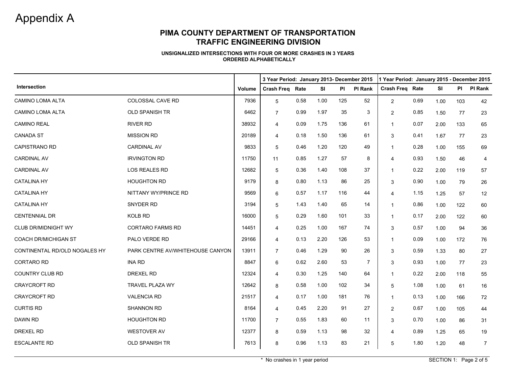## **PIMA COUNTY DEPARTMENT OF TRANSPORTATION TRAFFIC ENGINEERING DIVISION**

#### **UNSIGNALIZED INTERSECTIONS WITH FOUR OR MORE CRASHES IN 3 YEARSORDERED ALPHABETICALLY**

|                               |                                  |               |                        | 3 Year Period: January 2013- December 2015 |           |     |                |                        | 1 Year Period: January 2015 - December 2015 |           |     |                |  |  |
|-------------------------------|----------------------------------|---------------|------------------------|--------------------------------------------|-----------|-----|----------------|------------------------|---------------------------------------------|-----------|-----|----------------|--|--|
| Intersection                  |                                  | <b>Volume</b> | <b>Crash Freg Rate</b> |                                            | <b>SI</b> | PI  | <b>PI Rank</b> | <b>Crash Freg Rate</b> |                                             | <b>SI</b> | PI  | PI Rank        |  |  |
| CAMINO LOMA ALTA              | COLOSSAL CAVE RD                 | 7936          | 5                      | 0.58                                       | 1.00      | 125 | 52             | $\overline{2}$         | 0.69                                        | 1.00      | 103 | 42             |  |  |
| <b>CAMINO LOMA ALTA</b>       | <b>OLD SPANISH TR</b>            | 6462          | $\overline{7}$         | 0.99                                       | 1.97      | 35  | 3              | 2                      | 0.85                                        | 1.50      | 77  | 23             |  |  |
| <b>CAMINO REAL</b>            | RIVER RD                         | 38932         | $\overline{4}$         | 0.09                                       | 1.75      | 136 | 61             | $\mathbf{1}$           | 0.07                                        | 2.00      | 133 | 65             |  |  |
| <b>CANADA ST</b>              | <b>MISSION RD</b>                | 20189         | 4                      | 0.18                                       | 1.50      | 136 | 61             | 3                      | 0.41                                        | 1.67      | 77  | 23             |  |  |
| <b>CAPISTRANO RD</b>          | <b>CARDINAL AV</b>               | 9833          | 5                      | 0.46                                       | 1.20      | 120 | 49             | $\mathbf 1$            | 0.28                                        | 1.00      | 155 | 69             |  |  |
| <b>CARDINAL AV</b>            | <b>IRVINGTON RD</b>              | 11750         | 11                     | 0.85                                       | 1.27      | 57  | 8              | 4                      | 0.93                                        | 1.50      | 46  | 4              |  |  |
| <b>CARDINAL AV</b>            | LOS REALES RD                    | 12682         | 5                      | 0.36                                       | 1.40      | 108 | 37             | $\mathbf{1}$           | 0.22                                        | 2.00      | 119 | 57             |  |  |
| <b>CATALINA HY</b>            | <b>HOUGHTON RD</b>               | 9179          | 8                      | 0.80                                       | 1.13      | 86  | 25             | 3                      | 0.90                                        | 1.00      | 79  | 26             |  |  |
| <b>CATALINA HY</b>            | NITTANY WY/PRINCE RD             | 9569          | 6                      | 0.57                                       | 1.17      | 116 | 44             | $\overline{4}$         | 1.15                                        | 1.25      | 57  | 12             |  |  |
| <b>CATALINA HY</b>            | SNYDER RD                        | 3194          | 5                      | 1.43                                       | 1.40      | 65  | 14             | $\mathbf{1}$           | 0.86                                        | 1.00      | 122 | 60             |  |  |
| <b>CENTENNIAL DR</b>          | KOLB RD                          | 16000         | 5                      | 0.29                                       | 1.60      | 101 | 33             | $\mathbf 1$            | 0.17                                        | 2.00      | 122 | 60             |  |  |
| <b>CLUB DR/MIDNIGHT WY</b>    | <b>CORTARO FARMS RD</b>          | 14451         | 4                      | 0.25                                       | 1.00      | 167 | 74             | 3                      | 0.57                                        | 1.00      | 94  | 36             |  |  |
| <b>COACH DR/MICHIGAN ST</b>   | PALO VERDE RD                    | 29166         | $\overline{4}$         | 0.13                                       | 2.20      | 126 | 53             | $\mathbf{1}$           | 0.09                                        | 1.00      | 172 | 76             |  |  |
| CONTINENTAL RD/OLD NOGALES HY | PARK CENTRE AV/WHITEHOUSE CANYON | 13911         | $\overline{7}$         | 0.46                                       | 1.29      | 90  | 26             | 3                      | 0.59                                        | 1.33      | 80  | 27             |  |  |
| <b>CORTARO RD</b>             | <b>INA RD</b>                    | 8847          | 6                      | 0.62                                       | 2.60      | 53  | 7              | 3                      | 0.93                                        | 1.00      | 77  | 23             |  |  |
| COUNTRY CLUB RD               | DREXEL RD                        | 12324         | 4                      | 0.30                                       | 1.25      | 140 | 64             | $\mathbf 1$            | 0.22                                        | 2.00      | 118 | 55             |  |  |
| <b>CRAYCROFT RD</b>           | TRAVEL PLAZA WY                  | 12642         | 8                      | 0.58                                       | 1.00      | 102 | 34             | 5                      | 1.08                                        | 1.00      | 61  | 16             |  |  |
| CRAYCROFT RD                  | <b>VALENCIA RD</b>               | 21517         | 4                      | 0.17                                       | 1.00      | 181 | 76             | $\mathbf{1}$           | 0.13                                        | 1.00      | 166 | 72             |  |  |
| <b>CURTIS RD</b>              | <b>SHANNON RD</b>                | 8164          | 4                      | 0.45                                       | 2.20      | 91  | 27             | 2                      | 0.67                                        | 1.00      | 105 | 44             |  |  |
| DAWN RD                       | <b>HOUGHTON RD</b>               | 11700         | $\overline{7}$         | 0.55                                       | 1.83      | 60  | 11             | 3                      | 0.70                                        | 1.00      | 86  | 31             |  |  |
| DREXEL RD                     | WESTOVER AV                      | 12377         | 8                      | 0.59                                       | 1.13      | 98  | 32             | $\overline{4}$         | 0.89                                        | 1.25      | 65  | 19             |  |  |
| <b>ESCALANTE RD</b>           | OLD SPANISH TR                   | 7613          | 8                      | 0.96                                       | 1.13      | 83  | 21             | 5                      | 1.80                                        | 1.20      | 48  | $\overline{7}$ |  |  |

\* No crashes in 1 year period SECTION 1: Page 2 of 5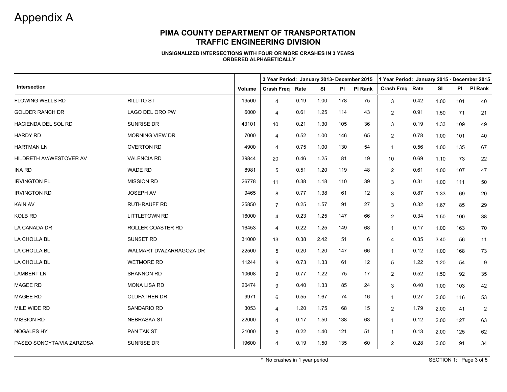### **PIMA COUNTY DEPARTMENT OF TRANSPORTATION TRAFFIC ENGINEERING DIVISION**

#### **UNSIGNALIZED INTERSECTIONS WITH FOUR OR MORE CRASHES IN 3 YEARSORDERED ALPHABETICALLY**

|                           |                         |               | 3 Year Period: January 2013- December 2015<br>1 Year Period: January 2015 - December 2015 |      |           |     |                |                        |      |           |           |                |  |  |
|---------------------------|-------------------------|---------------|-------------------------------------------------------------------------------------------|------|-----------|-----|----------------|------------------------|------|-----------|-----------|----------------|--|--|
| Intersection              |                         | <b>Volume</b> | <b>Crash Freg Rate</b>                                                                    |      | <b>SI</b> | PI  | <b>PI Rank</b> | <b>Crash Freg Rate</b> |      | <b>SI</b> | <b>PI</b> | <b>PI Rank</b> |  |  |
| FLOWING WELLS RD          | <b>RILLITO ST</b>       | 19500         | $\overline{4}$                                                                            | 0.19 | 1.00      | 178 | 75             | 3                      | 0.42 | 1.00      | 101       | 40             |  |  |
| <b>GOLDER RANCH DR</b>    | LAGO DEL ORO PW         | 6000          | $\overline{4}$                                                                            | 0.61 | 1.25      | 114 | 43             | $\overline{2}$         | 0.91 | 1.50      | 71        | 21             |  |  |
| HACIENDA DEL SOL RD       | SUNRISE DR              | 43101         | 10 <sup>°</sup>                                                                           | 0.21 | 1.30      | 105 | 36             | 3                      | 0.19 | 1.33      | 109       | 49             |  |  |
| <b>HARDY RD</b>           | <b>MORNING VIEW DR</b>  | 7000          | $\overline{4}$                                                                            | 0.52 | 1.00      | 146 | 65             | 2                      | 0.78 | 1.00      | 101       | 40             |  |  |
| <b>HARTMAN LN</b>         | <b>OVERTON RD</b>       | 4900          | $\overline{4}$                                                                            | 0.75 | 1.00      | 130 | 54             | $\overline{1}$         | 0.56 | 1.00      | 135       | 67             |  |  |
| HILDRETH AV/WESTOVER AV   | <b>VALENCIA RD</b>      | 39844         | 20                                                                                        | 0.46 | 1.25      | 81  | 19             | 10 <sup>1</sup>        | 0.69 | 1.10      | 73        | 22             |  |  |
| <b>INA RD</b>             | WADE RD                 | 8981          | 5                                                                                         | 0.51 | 1.20      | 119 | 48             | 2                      | 0.61 | 1.00      | 107       | 47             |  |  |
| <b>IRVINGTON PL</b>       | <b>MISSION RD</b>       | 26778         | 11                                                                                        | 0.38 | 1.18      | 110 | 39             | 3                      | 0.31 | 1.00      | 111       | 50             |  |  |
| <b>IRVINGTON RD</b>       | <b>JOSEPH AV</b>        | 9465          | 8                                                                                         | 0.77 | 1.38      | 61  | 12             | 3                      | 0.87 | 1.33      | 69        | 20             |  |  |
| <b>KAIN AV</b>            | <b>RUTHRAUFF RD</b>     | 25850         | $\overline{7}$                                                                            | 0.25 | 1.57      | 91  | 27             | 3                      | 0.32 | 1.67      | 85        | 29             |  |  |
| KOLB RD                   | <b>LITTLETOWN RD</b>    | 16000         | $\overline{4}$                                                                            | 0.23 | 1.25      | 147 | 66             | $\overline{2}$         | 0.34 | 1.50      | 100       | 38             |  |  |
| LA CANADA DR              | ROLLER COASTER RD       | 16453         | $\overline{4}$                                                                            | 0.22 | 1.25      | 149 | 68             | $\mathbf{1}$           | 0.17 | 1.00      | 163       | 70             |  |  |
| LA CHOLLA BL              | <b>SUNSET RD</b>        | 31000         | 13                                                                                        | 0.38 | 2.42      | 51  | 6              | $\overline{4}$         | 0.35 | 3.40      | 56        | 11             |  |  |
| LA CHOLLA BL              | WALMART DW/ZARRAGOZA DR | 22500         | 5                                                                                         | 0.20 | 1.20      | 147 | 66             | $\overline{1}$         | 0.12 | 1.00      | 168       | 73             |  |  |
| LA CHOLLA BL              | <b>WETMORE RD</b>       | 11244         | 9                                                                                         | 0.73 | 1.33      | 61  | 12             | 5                      | 1.22 | 1.20      | 54        | 9              |  |  |
| <b>LAMBERT LN</b>         | <b>SHANNON RD</b>       | 10608         | 9                                                                                         | 0.77 | 1.22      | 75  | 17             | $\overline{2}$         | 0.52 | 1.50      | 92        | 35             |  |  |
| <b>MAGEE RD</b>           | <b>MONA LISA RD</b>     | 20474         | 9                                                                                         | 0.40 | 1.33      | 85  | 24             | 3                      | 0.40 | 1.00      | 103       | 42             |  |  |
| MAGEE RD                  | OLDFATHER DR            | 9971          | 6                                                                                         | 0.55 | 1.67      | 74  | 16             | $\overline{1}$         | 0.27 | 2.00      | 116       | 53             |  |  |
| MILE WIDE RD              | <b>SANDARIO RD</b>      | 3053          | $\overline{4}$                                                                            | 1.20 | 1.75      | 68  | 15             | $\overline{2}$         | 1.79 | 2.00      | 41        | $\overline{2}$ |  |  |
| <b>MISSION RD</b>         | <b>NEBRASKA ST</b>      | 22000         | 4                                                                                         | 0.17 | 1.50      | 138 | 63             | $\overline{1}$         | 0.12 | 2.00      | 127       | 63             |  |  |
| NOGALES HY                | PAN TAK ST              | 21000         | 5                                                                                         | 0.22 | 1.40      | 121 | 51             | $\mathbf{1}$           | 0.13 | 2.00      | 125       | 62             |  |  |
| PASEO SONOYTA/VIA ZARZOSA | SUNRISE DR              | 19600         | 4                                                                                         | 0.19 | 1.50      | 135 | 60             | 2                      | 0.28 | 2.00      | 91        | 34             |  |  |

\* No crashes in 1 year period SECTION 1: Page 3 of 5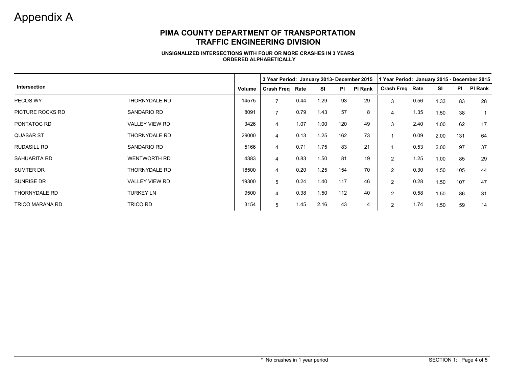## **PIMA COUNTY DEPARTMENT OF TRANSPORTATION TRAFFIC ENGINEERING DIVISION**

#### **UNSIGNALIZED INTERSECTIONS WITH FOUR OR MORE CRASHES IN 3 YEARSORDERED ALPHABETICALLY**

|                        |                       |        | 3 Year Period: January 2013- December 2015 |      |      | 1 Year Period: January 2015 - December 2015 |         |                        |      |      |           |                |
|------------------------|-----------------------|--------|--------------------------------------------|------|------|---------------------------------------------|---------|------------------------|------|------|-----------|----------------|
| Intersection           |                       | Volume | <b>Crash Freq Rate</b>                     |      | SI   | PI                                          | PI Rank | <b>Crash Freq Rate</b> |      | SI   | <b>PI</b> | <b>PI Rank</b> |
| PECOS WY               | <b>THORNYDALE RD</b>  | 14575  | $\overline{7}$                             | 0.44 | 1.29 | 93                                          | 29      | 3                      | 0.56 | 1.33 | 83        | 28             |
| PICTURE ROCKS RD       | <b>SANDARIO RD</b>    | 8091   | $\overline{7}$                             | 0.79 | 1.43 | 57                                          | 8       | 4                      | 1.35 | 1.50 | 38        |                |
| PONTATOC RD            | VALLEY VIEW RD        | 3426   | 4                                          | 1.07 | 1.00 | 120                                         | 49      | 3                      | 2.40 | 1.00 | 62        | 17             |
| <b>QUASAR ST</b>       | THORNYDALE RD         | 29000  | $\overline{4}$                             | 0.13 | 1.25 | 162                                         | 73      |                        | 0.09 | 2.00 | 131       | 64             |
| <b>RUDASILL RD</b>     | <b>SANDARIO RD</b>    | 5166   | 4                                          | 0.71 | 1.75 | 83                                          | 21      |                        | 0.53 | 2.00 | 97        | 37             |
| SAHUARITA RD           | <b>WENTWORTH RD</b>   | 4383   | 4                                          | 0.83 | 1.50 | 81                                          | 19      | $\overline{2}$         | 1.25 | 1.00 | 85        | 29             |
| <b>SUMTER DR</b>       | <b>THORNYDALE RD</b>  | 18500  | $\overline{4}$                             | 0.20 | 1.25 | 154                                         | 70      | $\overline{2}$         | 0.30 | 1.50 | 105       | 44             |
| <b>SUNRISE DR</b>      | <b>VALLEY VIEW RD</b> | 19300  | 5                                          | 0.24 | 1.40 | 117                                         | 46      | $\overline{2}$         | 0.28 | 1.50 | 107       | 47             |
| <b>THORNYDALE RD</b>   | <b>TURKEY LN</b>      | 9500   | 4                                          | 0.38 | 1.50 | 112                                         | 40      | $\overline{2}$         | 0.58 | 1.50 | 86        | 31             |
| <b>TRICO MARANA RD</b> | TRICO RD              | 3154   | 5                                          | 1.45 | 2.16 | 43                                          | 4       | 2                      | 1.74 | 1.50 | 59        | 14             |